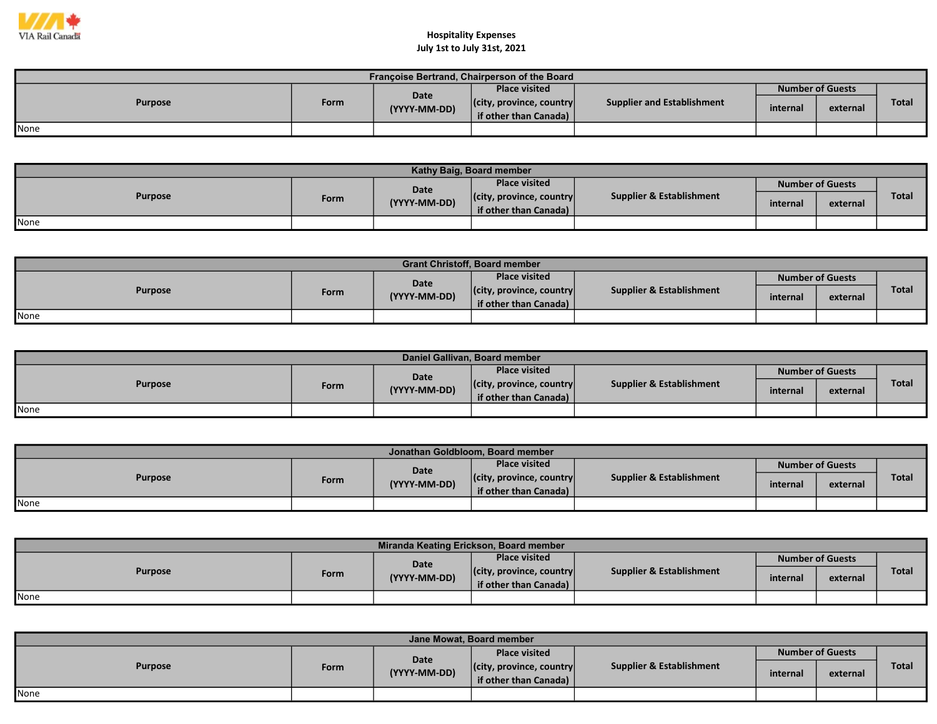

| Françoise Bertrand, Chairperson of the Board |      |                      |                                  |                            |          |                         |              |  |  |  |
|----------------------------------------------|------|----------------------|----------------------------------|----------------------------|----------|-------------------------|--------------|--|--|--|
| <b>Purpose</b>                               | Form |                      | <b>Place visited</b>             |                            |          | <b>Number of Guests</b> |              |  |  |  |
|                                              |      | Date<br>(YYYY-MM-DD) | $ $ (city, province, country $ $ | Supplier and Establishment | internal | external                | <b>Total</b> |  |  |  |
|                                              |      |                      | if other than Canada)            |                            |          |                         |              |  |  |  |
| None                                         |      |                      |                                  |                            |          |                         |              |  |  |  |

| Kathy Baig, Board member |      |              |                                  |                          |          |                         |              |  |  |  |
|--------------------------|------|--------------|----------------------------------|--------------------------|----------|-------------------------|--------------|--|--|--|
| <b>Purpose</b>           |      | Date         | <b>Place visited</b>             |                          |          | <b>Number of Guests</b> |              |  |  |  |
|                          | Form | (YYYY-MM-DD) | $ $ (city, province, country $ $ | Supplier & Establishment | internal | external                | <b>Total</b> |  |  |  |
|                          |      |              | if other than Canada)            |                          |          |                         |              |  |  |  |
| None                     |      |              |                                  |                          |          |                         |              |  |  |  |

| <b>Grant Christoff, Board member</b> |      |              |                                  |                                     |                         |          |              |  |  |  |
|--------------------------------------|------|--------------|----------------------------------|-------------------------------------|-------------------------|----------|--------------|--|--|--|
| <b>Purpose</b>                       |      | <b>Date</b>  | <b>Place visited</b>             | <b>Supplier &amp; Establishment</b> | <b>Number of Guests</b> |          |              |  |  |  |
|                                      | Form | (YYYY-MM-DD) | $ $ (city, province, country $ $ |                                     | internal                | external | <b>Total</b> |  |  |  |
|                                      |      |              | if other than Canada)            |                                     |                         |          |              |  |  |  |
| None                                 |      |              |                                  |                                     |                         |          |              |  |  |  |

| Daniel Gallivan, Board member |      |              |                                  |                          |                  |          |       |  |  |  |
|-------------------------------|------|--------------|----------------------------------|--------------------------|------------------|----------|-------|--|--|--|
| <b>Purpose</b>                |      | Date         | <b>Place visited</b>             | Supplier & Establishment | Number of Guests |          |       |  |  |  |
|                               | Form | (YYYY-MM-DD) | $ $ (city, province, country $ $ |                          | internal         | external | Total |  |  |  |
|                               |      |              | if other than Canada)            |                          |                  |          |       |  |  |  |
| <b>None</b>                   |      |              |                                  |                          |                  |          |       |  |  |  |

| Jonathan Goldbloom. Board member |      |              |                                  |                                     |                         |          |              |  |  |
|----------------------------------|------|--------------|----------------------------------|-------------------------------------|-------------------------|----------|--------------|--|--|
| <b>Purpose</b>                   |      | Date         | Place visited                    |                                     | <b>Number of Guests</b> |          |              |  |  |
|                                  | Form | (YYYY-MM-DD) | $ $ (city, province, country $ $ | <b>Supplier &amp; Establishment</b> | internal                | external | <b>Total</b> |  |  |
|                                  |      |              | if other than Canada)            |                                     |                         |          |              |  |  |
| <b>I</b> None                    |      |              |                                  |                                     |                         |          |              |  |  |

| Miranda Keating Erickson, Board member |      |              |                                  |                                     |          |                         |              |  |  |  |
|----------------------------------------|------|--------------|----------------------------------|-------------------------------------|----------|-------------------------|--------------|--|--|--|
| <b>Purpose</b>                         |      | Date         | <b>Place visited</b>             |                                     |          | <b>Number of Guests</b> |              |  |  |  |
|                                        | Form | (YYYY-MM-DD) | $ $ (city, province, country $ $ | <b>Supplier &amp; Establishment</b> | internal | external                | <b>Total</b> |  |  |  |
|                                        |      |              | if other than Canada)            |                                     |          |                         |              |  |  |  |
| None                                   |      |              |                                  |                                     |          |                         |              |  |  |  |

| Jane Mowat, Board member |      |                      |                                  |                          |                         |          |              |  |  |
|--------------------------|------|----------------------|----------------------------------|--------------------------|-------------------------|----------|--------------|--|--|
| Purpose                  | Form | Date<br>(YYYY-MM-DD) | <b>Place visited</b>             | Supplier & Establishment | <b>Number of Guests</b> |          |              |  |  |
|                          |      |                      | $ $ (city, province, country $ $ |                          | internal                | external | <b>Total</b> |  |  |
|                          |      |                      | lif other than Canada)           |                          |                         |          |              |  |  |
| <b>I</b> None            |      |                      |                                  |                          |                         |          |              |  |  |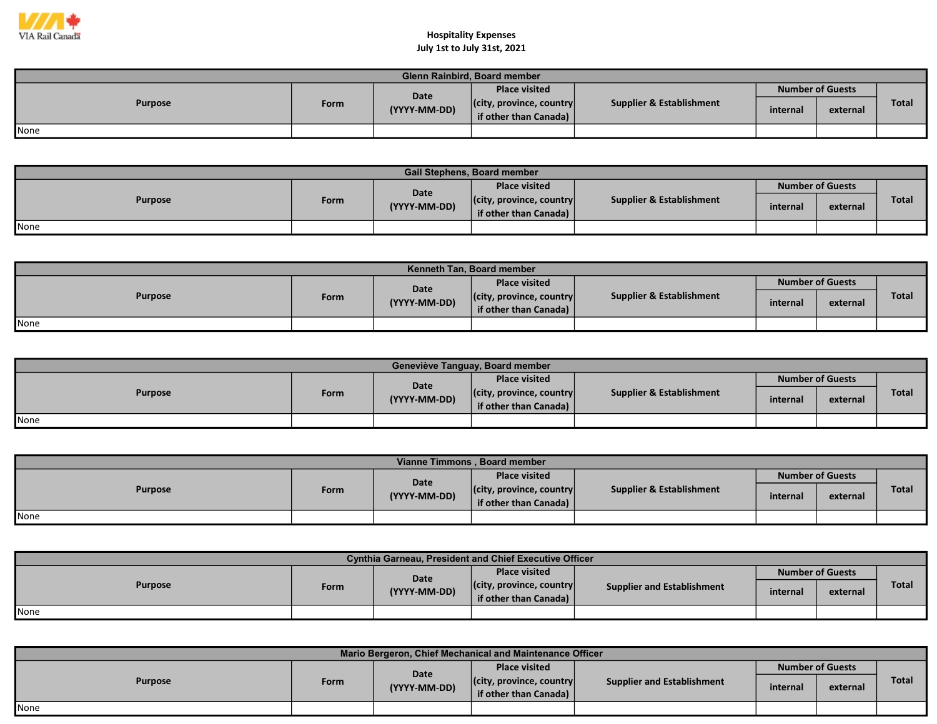

| <b>Glenn Rainbird, Board member</b> |      |              |                                  |                                     |                         |          |              |  |  |  |
|-------------------------------------|------|--------------|----------------------------------|-------------------------------------|-------------------------|----------|--------------|--|--|--|
| <b>Purpose</b>                      | Form | Date         | <b>Place visited</b>             |                                     | <b>Number of Guests</b> |          |              |  |  |  |
|                                     |      | (YYYY-MM-DD) | $ $ (city, province, country $ $ | <b>Supplier &amp; Establishment</b> | internal                | external | <b>Total</b> |  |  |  |
|                                     |      |              | if other than Canada)            |                                     |                         |          |              |  |  |  |
| None                                |      |              |                                  |                                     |                         |          |              |  |  |  |

| <b>Gail Stephens, Board member</b> |      |              |                                  |                                     |                         |          |              |  |  |  |
|------------------------------------|------|--------------|----------------------------------|-------------------------------------|-------------------------|----------|--------------|--|--|--|
| <b>Purpose</b>                     |      | Date         | <b>Place visited</b>             |                                     | <b>Number of Guests</b> |          |              |  |  |  |
|                                    | Form | (YYYY-MM-DD) | $ $ (city, province, country $ $ | <b>Supplier &amp; Establishment</b> | internal                | external | <b>Total</b> |  |  |  |
|                                    |      |              | if other than Canada) $\vert$    |                                     |                         |          |              |  |  |  |
| None                               |      |              |                                  |                                     |                         |          |              |  |  |  |

| <b>Kenneth Tan. Board member</b> |             |              |                                  |                          |                         |          |              |  |  |  |
|----------------------------------|-------------|--------------|----------------------------------|--------------------------|-------------------------|----------|--------------|--|--|--|
| <b>Purpose</b>                   |             | <b>Date</b>  | <b>Place visited</b>             | Supplier & Establishment | <b>Number of Guests</b> |          |              |  |  |  |
|                                  | <b>Form</b> | (YYYY-MM-DD) | $ $ (city, province, country $ $ |                          | internal                | external | <b>Total</b> |  |  |  |
|                                  |             |              | if other than Canada)            |                          |                         |          |              |  |  |  |
| None                             |             |              |                                  |                          |                         |          |              |  |  |  |

| Geneviève Tanguay, Board member |      |              |                                                           |                          |          |                         |              |  |  |  |
|---------------------------------|------|--------------|-----------------------------------------------------------|--------------------------|----------|-------------------------|--------------|--|--|--|
| <b>Purpose</b>                  |      | Date         | <b>Place visited</b>                                      |                          |          | <b>Number of Guests</b> |              |  |  |  |
|                                 | Form | (YYYY-MM-DD) | $ $ (city, province, country $ $<br>if other than Canada) | Supplier & Establishment | internal | external                | <b>Total</b> |  |  |  |
| None                            |      |              |                                                           |                          |          |                         |              |  |  |  |

| Vianne Timmons, Board member |      |              |                                                           |                          |          |                         |              |  |  |  |
|------------------------------|------|--------------|-----------------------------------------------------------|--------------------------|----------|-------------------------|--------------|--|--|--|
| <b>Purpose</b>               |      | Date         | <b>Place visited</b>                                      |                          |          | <b>Number of Guests</b> |              |  |  |  |
|                              | Form | (YYYY-MM-DD) | $ $ (city, province, country $ $<br>if other than Canada) | Supplier & Establishment | internal | external                | <b>Total</b> |  |  |  |
| <b>I</b> None                |      |              |                                                           |                          |          |                         |              |  |  |  |

| <b>Cynthia Garneau, President and Chief Executive Officer</b> |      |              |                                  |                                   |                         |          |              |  |  |  |
|---------------------------------------------------------------|------|--------------|----------------------------------|-----------------------------------|-------------------------|----------|--------------|--|--|--|
| <b>Purpose</b>                                                |      | Date         | <b>Place visited</b>             | <b>Supplier and Establishment</b> | <b>Number of Guests</b> |          |              |  |  |  |
|                                                               | Form | (YYYY-MM-DD) | $ $ (city, province, country $ $ |                                   | internal                | external | <b>Total</b> |  |  |  |
|                                                               |      |              | if other than Canada)            |                                   |                         |          |              |  |  |  |
| <b>None</b>                                                   |      |              |                                  |                                   |                         |          |              |  |  |  |

| Mario Bergeron, Chief Mechanical and Maintenance Officer |      |                      |                                  |                            |                         |          |              |  |  |  |
|----------------------------------------------------------|------|----------------------|----------------------------------|----------------------------|-------------------------|----------|--------------|--|--|--|
| <b>Purpose</b>                                           | Form | Date<br>(YYYY-MM-DD) | <b>Place visited</b>             | Supplier and Establishment | <b>Number of Guests</b> |          |              |  |  |  |
|                                                          |      |                      | $ $ (city, province, country $ $ |                            | internal                | external | <b>Total</b> |  |  |  |
|                                                          |      |                      | if other than Canada)            |                            |                         |          |              |  |  |  |
| None                                                     |      |                      |                                  |                            |                         |          |              |  |  |  |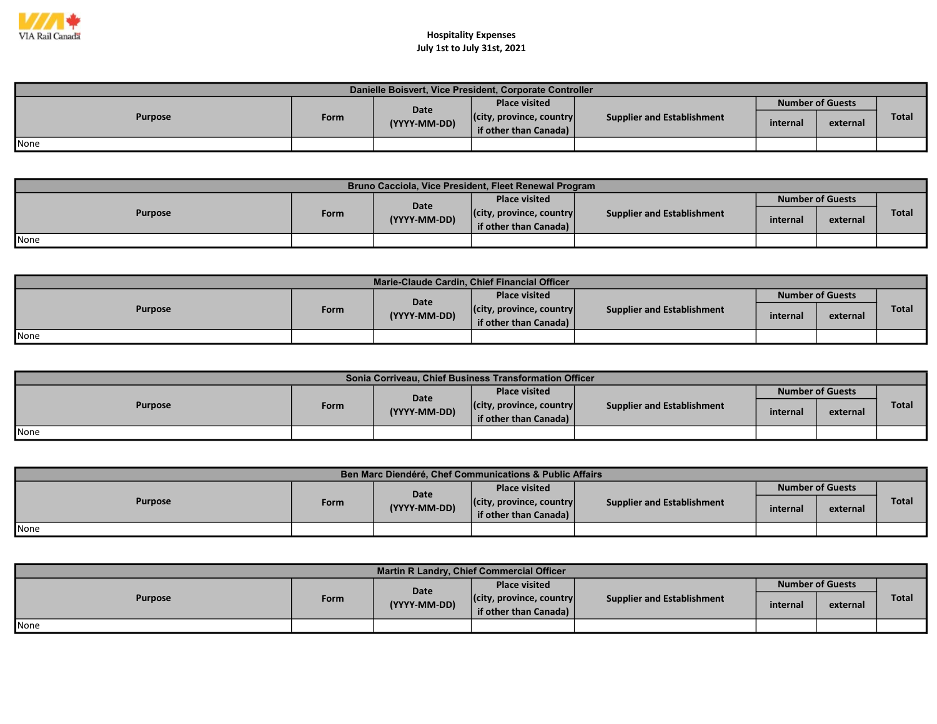

| Danielle Boisvert, Vice President, Corporate Controller |      |                      |                                                           |                                   |                         |          |       |  |  |  |
|---------------------------------------------------------|------|----------------------|-----------------------------------------------------------|-----------------------------------|-------------------------|----------|-------|--|--|--|
| <b>Purpose</b>                                          | Form | Date<br>(YYYY-MM-DD) | <b>Place visited</b>                                      | <b>Supplier and Establishment</b> | <b>Number of Guests</b> |          |       |  |  |  |
|                                                         |      |                      | $ $ (city, province, country $ $<br>if other than Canada) |                                   | internal                | external | Total |  |  |  |
| <b>I</b> None                                           |      |                      |                                                           |                                   |                         |          |       |  |  |  |

| Bruno Cacciola, Vice President, Fleet Renewal Program |      |                             |                                                           |                            |                         |          |              |  |  |  |
|-------------------------------------------------------|------|-----------------------------|-----------------------------------------------------------|----------------------------|-------------------------|----------|--------------|--|--|--|
| <b>Purpose</b>                                        | Form | <b>Date</b><br>(YYYY-MM-DD) | <b>Place visited</b>                                      | Supplier and Establishment | <b>Number of Guests</b> |          |              |  |  |  |
|                                                       |      |                             | $ $ (city, province, country $ $<br>if other than Canada) |                            | internal                | external | <b>Total</b> |  |  |  |
| <b>I</b> None                                         |      |                             |                                                           |                            |                         |          |              |  |  |  |

| Marie-Claude Cardin, Chief Financial Officer |      |                      |                                  |                            |                         |          |              |  |  |
|----------------------------------------------|------|----------------------|----------------------------------|----------------------------|-------------------------|----------|--------------|--|--|
| <b>Purpose</b>                               | Form | Date<br>(YYYY-MM-DD) | <b>Place visited</b>             | Supplier and Establishment | <b>Number of Guests</b> |          |              |  |  |
|                                              |      |                      | $ $ (city, province, country $ $ |                            | internal                |          | <b>Total</b> |  |  |
|                                              |      |                      | if other than Canada)            |                            |                         | external |              |  |  |
| <b>I</b> None                                |      |                      |                                  |                            |                         |          |              |  |  |

| Sonia Corriveau, Chief Business Transformation Officer |      |                             |                                                           |                            |          |                         |              |  |  |  |
|--------------------------------------------------------|------|-----------------------------|-----------------------------------------------------------|----------------------------|----------|-------------------------|--------------|--|--|--|
| <b>Purpose</b>                                         |      | <b>Date</b><br>(YYYY-MM-DD) | <b>Place visited</b>                                      |                            |          | <b>Number of Guests</b> |              |  |  |  |
|                                                        | Form |                             | $ $ (city, province, country $ $<br>if other than Canada) | Supplier and Establishment | internal | external                | <b>Total</b> |  |  |  |
| None                                                   |      |                             |                                                           |                            |          |                         |              |  |  |  |

| Ben Marc Diendéré, Chef Communications & Public Affairs |      |                      |                                  |                            |                         |          |       |  |  |  |
|---------------------------------------------------------|------|----------------------|----------------------------------|----------------------------|-------------------------|----------|-------|--|--|--|
| <b>Purpose</b>                                          |      | Date<br>(YYYY-MM-DD) | <b>Place visited</b>             | Supplier and Establishment | <b>Number of Guests</b> |          |       |  |  |  |
|                                                         | Form |                      | $ $ (city, province, country $ $ |                            | internal                |          | Total |  |  |  |
|                                                         |      |                      | if other than Canada)            |                            |                         | external |       |  |  |  |
| <b>None</b>                                             |      |                      |                                  |                            |                         |          |       |  |  |  |

| <b>Martin R Landry, Chief Commercial Officer</b> |      |                      |                                                           |                                   |                         |          |              |  |  |
|--------------------------------------------------|------|----------------------|-----------------------------------------------------------|-----------------------------------|-------------------------|----------|--------------|--|--|
| <b>Purpose</b>                                   | Form | Date<br>(YYYY-MM-DD) | <b>Place visited</b>                                      | <b>Supplier and Establishment</b> | <b>Number of Guests</b> |          |              |  |  |
|                                                  |      |                      | $ $ (city, province, country $ $<br>if other than Canada) |                                   | internal                | external | <b>Total</b> |  |  |
| None                                             |      |                      |                                                           |                                   |                         |          |              |  |  |